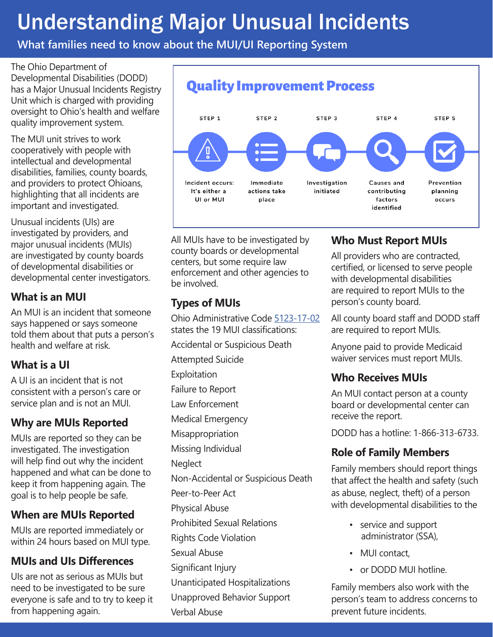## Understanding Major Unusual Incidents

**What families need to know about the MUI/UI Reporting System**

The Ohio Department of Developmental Disabilities (DODD) has a Major Unusual Incidents Registry Unit which is charged with providing oversight to Ohio's health and welfare quality improvement system.

The MUI unit strives to work cooperatively with people with intellectual and developmental disabilities, families, county boards, and providers to protect Ohioans, highlighting that all incidents are important and investigated.

Unusual incidents (UIs) are investigated by providers, and major unusual incidents (MUIs) are investigated by county boards of developmental disabilities or developmental center investigators.

#### **What is an MUI**

An MUI is an incident that someone says happened or says someone told them about that puts a person's health and welfare at risk.

#### **What is a UI**

A UI is an incident that is not consistent with a person's care or service plan and is not an MUI.

#### **Why are MUIs Reported**

MUIs are reported so they can be investigated. The investigation will help find out why the incident happened and what can be done to keep it from happening again. The goal is to help people be safe.

#### **When are MUIs Reported**

MUIs are reported immediately or within 24 hours based on MUI type.

### **MUIs and UIs Differences**

UIs are not as serious as MUIs but need to be investigated to be sure everyone is safe and to try to keep it from happening again.



All MUIs have to be investigated by county boards or developmental centers, but some require law enforcement and other agencies to be involved.

#### **Types of MUIs**

Ohio Administrative Code [5123-17-02](https://dodd.ohio.gov/wps/portal/gov/dodd/forms-and-rules/rules-in-effect/5123-17-02%2Beffective%2B2019-01-01) states the 19 MUI classifications:

Accidental or Suspicious Death

Attempted Suicide

Exploitation

Failure to Report

- Law Enforcement
- Medical Emergency

**Misappropriation** 

Missing Individual

**Neglect** 

Non-Accidental or Suspicious Death

- Peer-to-Peer Act
- Physical Abuse

Prohibited Sexual Relations

Rights Code Violation

Sexual Abuse

Significant Injury

Unanticipated Hospitalizations

Unapproved Behavior Support

Verbal Abuse

#### **Who Must Report MUIs**

All providers who are contracted, certified, or licensed to serve people with developmental disabilities are required to report MUIs to the person's county board.

All county board staff and DODD staff are required to report MUIs.

Anyone paid to provide Medicaid waiver services must report MUIs.

### **Who Receives MUIs**

An MUI contact person at a county board or developmental center can receive the report.

DODD has a hotline: 1-866-313-6733.

#### **Role of Family Members**

Family members should report things that affect the health and safety (such as abuse, neglect, theft) of a person with developmental disabilities to the

- service and support administrator (SSA),
- MUI contact,
- or DODD MUI hotline.

Family members also work with the person's team to address concerns to prevent future incidents.

### **Quality Improvement Process**